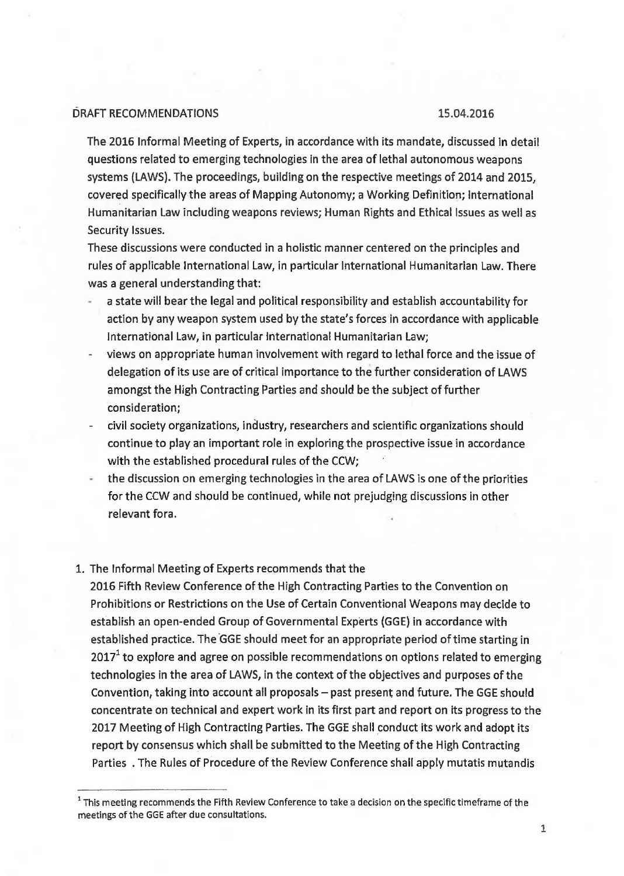## DRAFT RECOMMENDATIONS 15.04.2016

The 2016 Informal Meeting of Experts, in accordance with its mandate, discussed in detail questions related to emerging technologies in the area of lethal autonomous weapons systems (LAWS). The proceedings, building on the respective meetings of 2014 and 2015, covered specifically the areas of Mapping Autonomy; a Working Definition; International Humanitarian Law including weapons reviews; Human Rights and Ethical Issues as well as Security Issues.

These discussions were conducted in a holistic manner centered on the principles and rules of applicable International Law, in particular International Humanitarian Law. There was a general understanding that:

- a state will bear the legal and political responsibility and establish accountability for action by any weapon system used by the state's forces in accordance with applicable International Law, in particular International Humanitarian Law;
- views on appropriate human involvement with regard to lethal force and the issue of delegation of its use are of critical importance to the further consideration of LAWS amongst the High Contracting Parties and should be the subject of further consideration;
- civil society organizations, industry, researchers and scientific organizations should continue to play an important role in exploring the prospective issue in accordance with the established procedural rules of the CCW;
- the discussion on emerging technologies in the area of LAWS is one of the priorities for the CCW and should be continued, while not prejudging discussions in other relevant fora.

## 1. The Informal Meeting of Experts recommends that the

2016 Fifth Review Conference of the High Contracting Parties to the Convention on Prohibitions or Restrictions on the Use of Certain Conventional Weapons may decide to establish an open-ended Group of Governmental Experts (GGE) in accordance with established practice. The GGE should meet for an appropriate period of time starting in  $2017<sup>1</sup>$  to explore and agree on possible recommendations on options related to emerging technologies in the area of LAWS, in the context of the objectives and purposes of the Convention, taking into account all proposals - past present and future. The GGE should concentrate on technical and expert work in its first part and report on its progress to the 2017 Meeting of High Contracting Parties. The GGE shall conduct its work and adopt its report by consensus which shall be submitted to the Meeting of the High Contracting Parties . The Rules of Procedure of the Review Conference shall apply mutatis mutandis

 $1$  This meeting recommends the Fifth Review Conference to take a decision on the specific timeframe of the meetings of the GGE after due consultations.